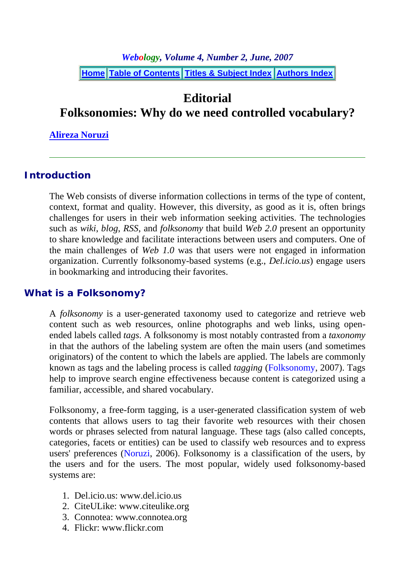*Webology, Volume 4, Number 2, June, 2007*

**Home Table of Contents Titles & Subject Index Authors Index**

# **Editorial**

**Folksonomies: Why do we need controlled vocabulary?** 

**Alireza Noruzi**

#### **Introduction**

The Web consists of diverse information collections in terms of the type of content, context, format and quality. However, this diversity, as good as it is, often brings challenges for users in their web information seeking activities. The technologies such as *wiki*, *blog*, *RSS*, and *folksonomy* that build *Web 2.0* present an opportunity to share knowledge and facilitate interactions between users and computers. One of the main challenges of *Web 1.0* was that users were not engaged in information organization. Currently folksonomy-based systems (e.g., *Del.icio.us*) engage users in bookmarking and introducing their favorites.

#### **What is a Folksonomy?**

A *folksonomy* is a user-generated taxonomy used to categorize and retrieve web content such as web resources, online photographs and web links, using openended labels called *tags*. A folksonomy is most notably contrasted from a *taxonomy* in that the authors of the labeling system are often the main users (and sometimes originators) of the content to which the labels are applied. The labels are commonly known as tags and the labeling process is called *tagging* (Folksonomy, 2007). Tags help to improve search engine effectiveness because content is categorized using a familiar, accessible, and shared vocabulary.

Folksonomy, a free-form tagging, is a user-generated classification system of web contents that allows users to tag their favorite web resources with their chosen words or phrases selected from natural language. These tags (also called concepts, categories, facets or entities) can be used to classify web resources and to express users' preferences (Noruzi, 2006). Folksonomy is a classification of the users, by the users and for the users. The most popular, widely used folksonomy-based systems are:

- 1. Del.icio.us: www.del.icio.us
- 2. CiteULike: www.citeulike.org
- 3. Connotea: www.connotea.org
- 4. Flickr: www.flickr.com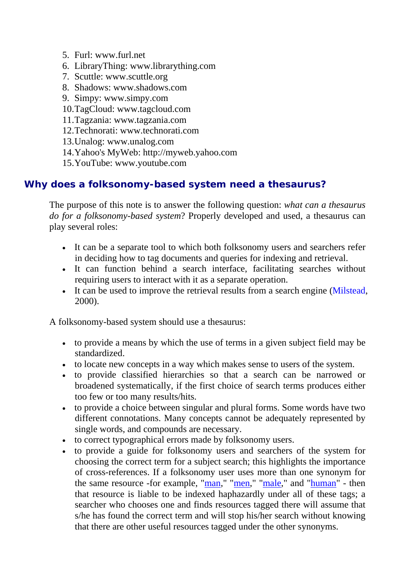- 5. Furl: www.furl.net
- 6. LibraryThing: www.librarything.com
- 7. Scuttle: www.scuttle.org
- 8. Shadows: www.shadows.com
- 9. Simpy: www.simpy.com
- 10.TagCloud: www.tagcloud.com
- 11.Tagzania: www.tagzania.com
- 12.Technorati: www.technorati.com
- 13.Unalog: www.unalog.com
- 14.Yahoo's MyWeb: http://myweb.yahoo.com
- 15.YouTube: www.youtube.com

## **Why does a folksonomy-based system need a thesaurus?**

The purpose of this note is to answer the following question: *what can a thesaurus do for a folksonomy-based system*? Properly developed and used, a thesaurus can play several roles:

- It can be a separate tool to which both folksonomy users and searchers refer in deciding how to tag documents and queries for indexing and retrieval.
- It can function behind a search interface, facilitating searches without requiring users to interact with it as a separate operation.
- It can be used to improve the retrieval results from a search engine (Milstead, 2000).

A folksonomy-based system should use a thesaurus:

- to provide a means by which the use of terms in a given subject field may be standardized.
- to locate new concepts in a way which makes sense to users of the system.
- to provide classified hierarchies so that a search can be narrowed or broadened systematically, if the first choice of search terms produces either too few or too many results/hits.
- to provide a choice between singular and plural forms. Some words have two different connotations. Many concepts cannot be adequately represented by single words, and compounds are necessary.
- to correct typographical errors made by folksonomy users.
- to provide a guide for folksonomy users and searchers of the system for choosing the correct term for a subject search; this highlights the importance of cross-references. If a folksonomy user uses more than one synonym for the same resource -for example, "man," "men," "male," and "human" - then that resource is liable to be indexed haphazardly under all of these tags; a searcher who chooses one and finds resources tagged there will assume that s/he has found the correct term and will stop his/her search without knowing that there are other useful resources tagged under the other synonyms.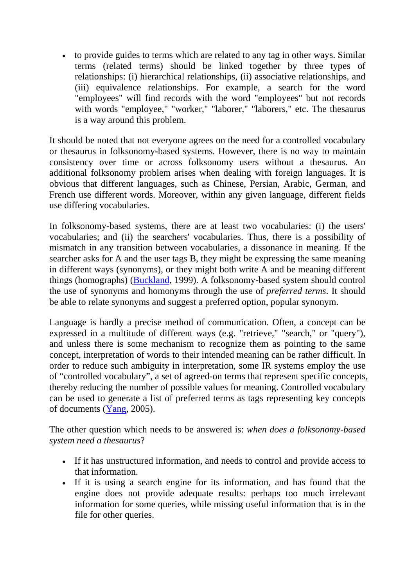• to provide guides to terms which are related to any tag in other ways. Similar terms (related terms) should be linked together by three types of relationships: (i) hierarchical relationships, (ii) associative relationships, and (iii) equivalence relationships. For example, a search for the word "employees" will find records with the word "employees" but not records with words "employee," "worker," "laborer," "laborers," etc. The thesaurus is a way around this problem.

It should be noted that not everyone agrees on the need for a controlled vocabulary or thesaurus in folksonomy-based systems. However, there is no way to maintain consistency over time or across folksonomy users without a thesaurus. An additional folksonomy problem arises when dealing with foreign languages. It is obvious that different languages, such as Chinese, Persian, Arabic, German, and French use different words. Moreover, within any given language, different fields use differing vocabularies.

In folksonomy-based systems, there are at least two vocabularies: (i) the users' vocabularies; and (ii) the searchers' vocabularies. Thus, there is a possibility of mismatch in any transition between vocabularies, a dissonance in meaning. If the searcher asks for A and the user tags B, they might be expressing the same meaning in different ways (synonyms), or they might both write A and be meaning different things (homographs) (Buckland, 1999). A folksonomy-based system should control the use of synonyms and homonyms through the use of *preferred terms*. It should be able to relate synonyms and suggest a preferred option, popular synonym.

Language is hardly a precise method of communication. Often, a concept can be expressed in a multitude of different ways (e.g. "retrieve," "search," or "query"), and unless there is some mechanism to recognize them as pointing to the same concept, interpretation of words to their intended meaning can be rather difficult. In order to reduce such ambiguity in interpretation, some IR systems employ the use of "controlled vocabulary", a set of agreed-on terms that represent specific concepts, thereby reducing the number of possible values for meaning. Controlled vocabulary can be used to generate a list of preferred terms as tags representing key concepts of documents (Yang, 2005).

The other question which needs to be answered is: *when does a folksonomy-based system need a thesaurus*?

- If it has unstructured information, and needs to control and provide access to that information.
- If it is using a search engine for its information, and has found that the engine does not provide adequate results: perhaps too much irrelevant information for some queries, while missing useful information that is in the file for other queries.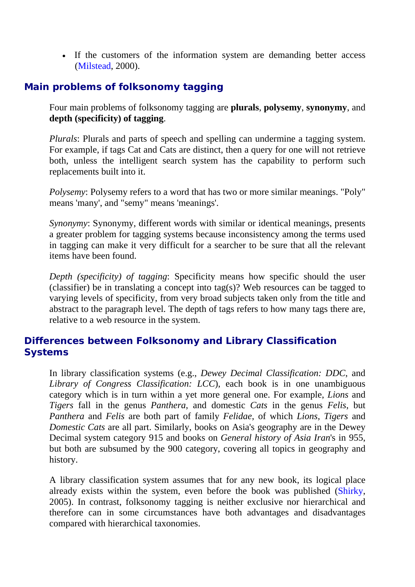• If the customers of the information system are demanding better access (Milstead, 2000).

## **Main problems of folksonomy tagging**

Four main problems of folksonomy tagging are **plurals**, **polysemy**, **synonymy**, and **depth (specificity) of tagging**.

*Plurals*: Plurals and parts of speech and spelling can undermine a tagging system. For example, if tags Cat and Cats are distinct, then a query for one will not retrieve both, unless the intelligent search system has the capability to perform such replacements built into it.

*Polysemy*: Polysemy refers to a word that has two or more similar meanings. "Poly" means 'many', and "semy" means 'meanings'.

*Synonymy*: Synonymy, different words with similar or identical meanings, presents a greater problem for tagging systems because inconsistency among the terms used in tagging can make it very difficult for a searcher to be sure that all the relevant items have been found.

*Depth (specificity) of tagging*: Specificity means how specific should the user (classifier) be in translating a concept into tag(s)? Web resources can be tagged to varying levels of specificity, from very broad subjects taken only from the title and abstract to the paragraph level. The depth of tags refers to how many tags there are, relative to a web resource in the system.

## **Differences between Folksonomy and Library Classification Systems**

In library classification systems (e.g., *Dewey Decimal Classification: DDC*, and *Library of Congress Classification: LCC*), each book is in one unambiguous category which is in turn within a yet more general one. For example, *Lions* and *Tigers* fall in the genus *Panthera*, and domestic *Cats* in the genus *Felis*, but *Panthera* and *Felis* are both part of family *Felidae*, of which *Lions*, *Tigers* and *Domestic Cats* are all part. Similarly, books on Asia's geography are in the Dewey Decimal system category 915 and books on *General history of Asia Iran*'s in 955, but both are subsumed by the 900 category, covering all topics in geography and history.

A library classification system assumes that for any new book, its logical place already exists within the system, even before the book was published (Shirky, 2005). In contrast, folksonomy tagging is neither exclusive nor hierarchical and therefore can in some circumstances have both advantages and disadvantages compared with hierarchical taxonomies.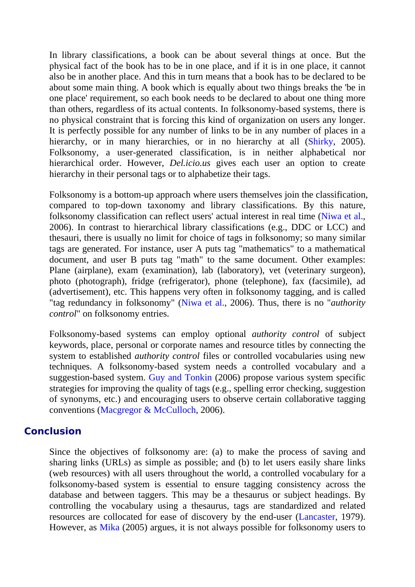In library classifications, a book can be about several things at once. But the physical fact of the book has to be in one place, and if it is in one place, it cannot also be in another place. And this in turn means that a book has to be declared to be about some main thing. A book which is equally about two things breaks the 'be in one place' requirement, so each book needs to be declared to about one thing more than others, regardless of its actual contents. In folksonomy-based systems, there is no physical constraint that is forcing this kind of organization on users any longer. It is perfectly possible for any number of links to be in any number of places in a hierarchy, or in many hierarchies, or in no hierarchy at all (Shirky, 2005). Folksonomy, a user-generated classification, is in neither alphabetical nor hierarchical order. However, *Del.icio.us* gives each user an option to create hierarchy in their personal tags or to alphabetize their tags.

Folksonomy is a bottom-up approach where users themselves join the classification, compared to top-down taxonomy and library classifications. By this nature, folksonomy classification can reflect users' actual interest in real time (Niwa et al., 2006). In contrast to hierarchical library classifications (e.g., DDC or LCC) and thesauri, there is usually no limit for choice of tags in folksonomy; so many similar tags are generated. For instance, user A puts tag "mathematics" to a mathematical document, and user B puts tag "math" to the same document. Other examples: Plane (airplane), exam (examination), lab (laboratory), vet (veterinary surgeon), photo (photograph), fridge (refrigerator), phone (telephone), fax (facsimile), ad (advertisement), etc. This happens very often in folksonomy tagging, and is called "tag redundancy in folksonomy" (Niwa et al., 2006). Thus, there is no "*authority control*" on folksonomy entries.

Folksonomy-based systems can employ optional *authority control* of subject keywords, place, personal or corporate names and resource titles by connecting the system to established *authority control* files or controlled vocabularies using new techniques. A folksonomy-based system needs a controlled vocabulary and a suggestion-based system. Guy and Tonkin (2006) propose various system specific strategies for improving the quality of tags (e.g., spelling error checking, suggestion of synonyms, etc.) and encouraging users to observe certain collaborative tagging conventions (Macgregor & McCulloch, 2006).

#### **Conclusion**

Since the objectives of folksonomy are: (a) to make the process of saving and sharing links (URLs) as simple as possible; and (b) to let users easily share links (web resources) with all users throughout the world, a controlled vocabulary for a folksonomy-based system is essential to ensure tagging consistency across the database and between taggers. This may be a thesaurus or subject headings. By controlling the vocabulary using a thesaurus, tags are standardized and related resources are collocated for ease of discovery by the end-user (Lancaster, 1979). However, as Mika (2005) argues, it is not always possible for folksonomy users to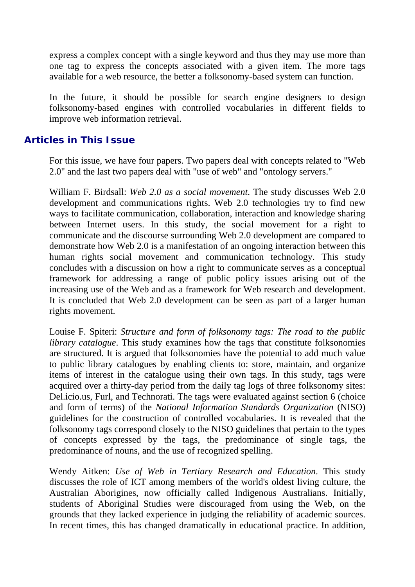express a complex concept with a single keyword and thus they may use more than one tag to express the concepts associated with a given item. The more tags available for a web resource, the better a folksonomy-based system can function.

In the future, it should be possible for search engine designers to design folksonomy-based engines with controlled vocabularies in different fields to improve web information retrieval.

#### **Articles in This Issue**

For this issue, we have four papers. Two papers deal with concepts related to "Web 2.0" and the last two papers deal with "use of web" and "ontology servers."

William F. Birdsall: *Web 2.0 as a social movement*. The study discusses Web 2.0 development and communications rights. Web 2.0 technologies try to find new ways to facilitate communication, collaboration, interaction and knowledge sharing between Internet users. In this study, the social movement for a right to communicate and the discourse surrounding Web 2.0 development are compared to demonstrate how Web 2.0 is a manifestation of an ongoing interaction between this human rights social movement and communication technology. This study concludes with a discussion on how a right to communicate serves as a conceptual framework for addressing a range of public policy issues arising out of the increasing use of the Web and as a framework for Web research and development. It is concluded that Web 2.0 development can be seen as part of a larger human rights movement.

Louise F. Spiteri: *Structure and form of folksonomy tags: The road to the public library catalogue*. This study examines how the tags that constitute folksonomies are structured. It is argued that folksonomies have the potential to add much value to public library catalogues by enabling clients to: store, maintain, and organize items of interest in the catalogue using their own tags. In this study, tags were acquired over a thirty-day period from the daily tag logs of three folksonomy sites: Del.icio.us, Furl, and Technorati. The tags were evaluated against section 6 (choice and form of terms) of the *National Information Standards Organization* (NISO) guidelines for the construction of controlled vocabularies. It is revealed that the folksonomy tags correspond closely to the NISO guidelines that pertain to the types of concepts expressed by the tags, the predominance of single tags, the predominance of nouns, and the use of recognized spelling.

Wendy Aitken: *Use of Web in Tertiary Research and Education*. This study discusses the role of ICT among members of the world's oldest living culture, the Australian Aborigines, now officially called Indigenous Australians. Initially, students of Aboriginal Studies were discouraged from using the Web, on the grounds that they lacked experience in judging the reliability of academic sources. In recent times, this has changed dramatically in educational practice. In addition,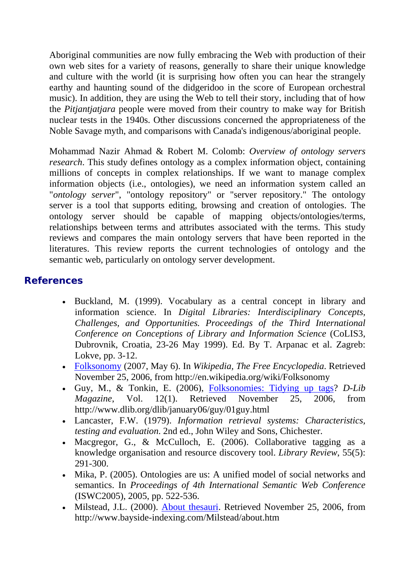Aboriginal communities are now fully embracing the Web with production of their own web sites for a variety of reasons, generally to share their unique knowledge and culture with the world (it is surprising how often you can hear the strangely earthy and haunting sound of the didgeridoo in the score of European orchestral music). In addition, they are using the Web to tell their story, including that of how the *Pitjantjatjara* people were moved from their country to make way for British nuclear tests in the 1940s. Other discussions concerned the appropriateness of the Noble Savage myth, and comparisons with Canada's indigenous/aboriginal people.

Mohammad Nazir Ahmad & Robert M. Colomb: *Overview of ontology servers research*. This study defines ontology as a complex information object, containing millions of concepts in complex relationships. If we want to manage complex information objects (i.e., ontologies), we need an information system called an "*ontology server*", "ontology repository" or "server repository." The ontology server is a tool that supports editing, browsing and creation of ontologies. The ontology server should be capable of mapping objects/ontologies/terms, relationships between terms and attributes associated with the terms. This study reviews and compares the main ontology servers that have been reported in the literatures. This review reports the current technologies of ontology and the semantic web, particularly on ontology server development.

## **References**

- Buckland, M. (1999). Vocabulary as a central concept in library and information science. In *Digital Libraries: Interdisciplinary Concepts, Challenges, and Opportunities. Proceedings of the Third International Conference on Conceptions of Library and Information Science* (CoLIS3, Dubrovnik, Croatia, 23-26 May 1999). Ed. By T. Arpanac et al. Zagreb: Lokve, pp. 3-12.
- Folksonomy (2007, May 6). In *Wikipedia, The Free Encyclopedia*. Retrieved November 25, 2006, from http://en.wikipedia.org/wiki/Folksonomy
- Guy, M., & Tonkin, E. (2006), Folksonomies: Tidying up tags? *D-Lib Magazine*, Vol. 12(1). Retrieved November 25, 2006, from http://www.dlib.org/dlib/january06/guy/01guy.html
- Lancaster, F.W. (1979). *Information retrieval systems: Characteristics, testing and evaluation*. 2nd ed., John Wiley and Sons, Chichester.
- Macgregor, G., & McCulloch, E. (2006). Collaborative tagging as a knowledge organisation and resource discovery tool. *Library Review*, 55(5): 291-300.
- Mika, P. (2005). Ontologies are us: A unified model of social networks and semantics. In *Proceedings of 4th International Semantic Web Conference* (ISWC2005), 2005, pp. 522-536.
- Milstead, J.L. (2000). About thesauri. Retrieved November 25, 2006, from http://www.bayside-indexing.com/Milstead/about.htm